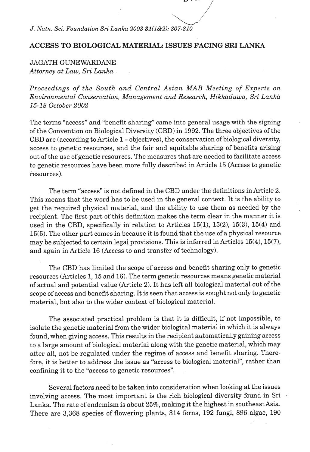*J. Natn. Sci. Foundation Sri Lanka* **2003 31(1&2): 307-310** 

## **ACCESS TO BIOLOGICAL MATERIAL: ISSUES FACING SRI LANKA**

JAGATH GUNEWARDANE *Attorney at Law, Sri Lanha* 

*Proceedings of the South and Central Asian MAB Meeting of Experts on Environmental Conservation, Management and Research, Hikkaduwa, Sri Lanka 15-18 October* 2002

The terms "access" and "benefit sharing" came into general usage with the signing of the Convention on Biological Diversity (CBD) in 1992. The three objectives of the CBD are (according to Article 1 - objectives), the conservation of biological diversity, access to genetic resources, and the fair and equitable sharing of benefits arising out of the use of genetic resources. The measures that are needed to facilitate access to genetic resources have been more fully described in Article 15 (Access to genetic resources).

The term "access" is not defined in the CBD under the definitions in Article 2. This means that the word has to be used in the general context. It is the ability to get the required physical material, and the ability to use them as needed by the recipient. The first part of this definition makes the term clear in the manner it is used in the CBD, specifically in relation to Articles 15(1), 15(2), 15(3), 15(4) and 15(5). The other part comes in because it is found that the use of a physical resource may be subjected to certain legal provisions. This is inferred in Articles 15(4), 15(7), and again in Article 16 (Access to and transfer of technology).

The CBD has limited the scope of access and benefit sharing only to genetic resources (Articles 1,15 and 16). The term genetic resources means genetic material of actual and potential value (Article 2). It has left all biological material out of the scope of access and benefit sharing. It is seen that access is sought not only to genetic material, but also to the wider context of biological material.

The associated practical problem is that it is difficult, if not impossible, to isolate the genetic material from the wider biological material in which it is always found, when giving access. This results in the recipient automatically gaining access to a large amount of biological material along with the genetic material, which may after all, not be regulated under the regime of access and benefit sharing. Therefore, it is better to address the issue as "access to biological material", rather than confining it to the "access to genetic resources".

Several factors need to be taken into consideration when looking at the issues involving access. The most important is the rich biological diversity found in Sri Lanka. The rate of endemism is about 25%, making it the highest in southeast Asia. There are 3,368 species of flowering plants, 314 ferns, 192 fungi, 896 algae, 190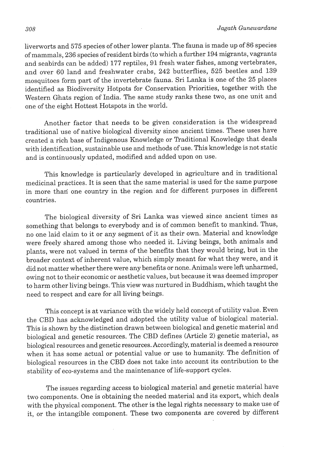liverworts and 575 species of other lower plants. The fauna is made up of 86 species of mammals, 236 species of resident birds (to which a further 194 migrants, vagrants and seabirds can be added) 177 reptiles, 91 fresh water fishes, among vertebrates, and over 60 land and freshwater crabs, 242 butterflies, 525 beetles and 139 mosquitoes form part of the invertebrate fauna. Sri Lanka is one of the 25 places identified as Biodiversity Hotpots for Conservation Priorities, together with the Western Ghats region of India. The same study ranks these two, as one unit and one of the eight Hottest Hotspots in the world.

Another factor that needs to be given consideration is the widespread traditional use of native biological diversity since ancient times. These uses have created a rich base of Indigenous Knowledge or Traditional Knowledge that deals with identification, sustainable use and methods of use. This knowledge is not static and is continuously updated, modified and added upon on use.

This knowledge is particularly developed in agriculture and in traditional medicinal practices. It is seen that the same material is used for the same purpose in more than one country in the region and for different purposes in different countries.

The biological diversity of Sri Lanka was viewed since ancient times as something that belongs to everybody and is of common benefit to mankind. Thus, no one laid claim to it or any segment of it as their own. Material and knowledge were freely shared among those who needed it. Living beings, both animals and plants, were not valued in terms of the benefits that they would bring, but in the broader context of inherent value, which simply meant for what they were, and it did not matter whether there were any benefits or none. Animals were left unharmed, owing not to their economic or aesthetic values, but because it was deemed improper to harm other living beings. This view was nurtured in Buddhism, which taught the need to respect and care for all living beings.

This concept is at variance with the widely held concept of utility value. Even the CBD has acknowledged and adopted the utility value of biological material. This is shown by the distinction drawn between biological and genetic material and biological and genetic resources. The CBD defines (Article 2) genetic material, as biological resources and genetic resources. Accordingly, material is deemed a resource when it has some actual or potential value or use to humanity. The definition of biological resources in the CBD does not take into account its contribution to the stability of eco-systems and the maintenance of life-support cycles.

The issues regarding access to biological material and genetic material have two components. One is obtaining the needed material and its export, which deals with the physical component. The other is the legal rights necessary to make use of it, or the intangible component. These two components are covered by different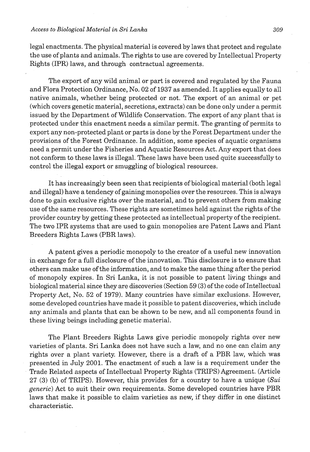## *Access to Biological Material in Sri Lanka* **309**

legal enactments. The physical material is covered by laws that protect and regulate the use of plants and animals. The rights to use are covered by Intellectual Property Rights (IPR) laws, and through contractual agreements.

The export of any wild animal or part is covered and regulated by the Fauna and Flora Protection Ordinance, No. 02 of 1937 as amended. It applies equally to all native animals, whether being protected or not. The export of an animal or pet (which covers genetic material, secretions, extracts) can be done only under a permit issued by the Department of Wildlife Conservation. The export of any plant that is protected under this enactment needs a similar permit. The granting of permits to export any non-protected plant or parts is done by the Forest Department under the provisions of the Forest Ordinance. In addition, some species of aquatic organisms need a permit under the Fisheries and Aquatic Resources Act. Any export that does not conform to these laws is illegal. These laws have been used quite successfully to control the illegal export or smuggling of biological resources.

It has increasingly been seen that recipients of biological material (both legal and illegal) have a tendency of gaining monopolies over the resources. This is always done to gain exclusive rights over the material, and to prevent others from making use of the same resources. These rights are sometimes held against the rights of the provider country by getting these protected as intellectual property of the recipient. The two IPR systems that are used to gain monopolies are Patent Laws and Plant Breeders Rights Laws (PBR laws).

A patent gives a periodic monopoly to the creator of a useful new innovation in exchange for a full disclosure of the innovation. This disclosure is to ensure that others can make use of the information, and to make the same thing after the period of monopoly expires. In Sri Lanka, it is not possible to patent living things and biological material since they are discoveries (Section 59 **(3)** of the code of Intellectual Property Act, No. 52 of 1979). Many countries have similar exclusions. However, some developed countries have made it possible to patent discoveries, which include any animals and plants that can be shown to be new, and all components found in these living beings including genetic material.

The Plant Breeders Rights Laws give periodic monopoly rights over new varieties of plants. Sri Lanka does not have such a law, and no one can claim any rights over a plant variety. However, there is a draft of a PBR law, which was presented in July 2001. The enactment of such a law is a requirement under the Trade Related aspects of Intellectual Property Rights (TRIPS) Agreement. (Article 27 (3) (b) of TRIPS). However, this provides for a country to have a unique  $(Sui)$ generic) Act to suit their own requirements. Some developed countries have PBR laws that make it possible to claim varieties as new, if they differ in one distinct characteristic.